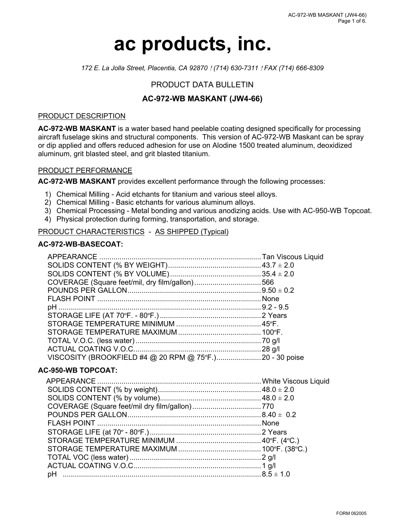# **ac products, inc.**

*172 E. La Jolla Street, Placentia, CA 92870* ! *(714) 630-7311* ! *FAX (714) 666-8309*

# PRODUCT DATA BULLETIN

# **AC-972-WB MASKANT (JW4-66)**

## PRODUCT DESCRIPTION

**AC-972-WB MASKANT** is a water based hand peelable coating designed specifically for processing aircraft fuselage skins and structural components. This version of AC-972-WB Maskant can be spray or dip applied and offers reduced adhesion for use on Alodine 1500 treated aluminum, deoxidized aluminum, grit blasted steel, and grit blasted titanium.

### PRODUCT PERFORMANCE

**AC-972-WB MASKANT** provides excellent performance through the following processes:

- 1) Chemical Milling Acid etchants for titanium and various steel alloys.
- 2) Chemical Milling Basic etchants for various aluminum alloys.
- 3) Chemical Processing Metal bonding and various anodizing acids. Use with AC-950-WB Topcoat.
- 4) Physical protection during forming, transportation, and storage.

## PRODUCT CHARACTERISTICS - AS SHIPPED (Typical)

## **AC-972-WB-BASECOAT:**

| VISCOSITY (BROOKFIELD #4 @ 20 RPM @ 75°F.) 20 - 30 poise |  |
|----------------------------------------------------------|--|

# **AC-950-WB TOPCOAT:**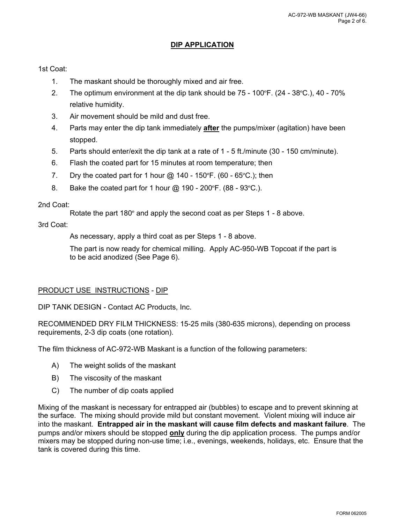# **DIP APPLICATION**

# 1st Coat:

- 1. The maskant should be thoroughly mixed and air free.
- 2. The optimum environment at the dip tank should be 75 100ºF. (24 38ºC.), 40 70% relative humidity.
- 3. Air movement should be mild and dust free.
- 4. Parts may enter the dip tank immediately **after** the pumps/mixer (agitation) have been stopped.
- 5. Parts should enter/exit the dip tank at a rate of 1 5 ft./minute (30 150 cm/minute).
- 6. Flash the coated part for 15 minutes at room temperature; then
- 7. Dry the coated part for 1 hour  $\omega$  140 150°F. (60 65°C.); then
- 8. Bake the coated part for 1 hour @ 190 200ºF. (88 93ºC.).

## 2nd Coat:

Rotate the part 180º and apply the second coat as per Steps 1 - 8 above.

## 3rd Coat:

As necessary, apply a third coat as per Steps 1 - 8 above.

The part is now ready for chemical milling. Apply AC-950-WB Topcoat if the part is to be acid anodized (See Page 6).

## PRODUCT USE INSTRUCTIONS - DIP

DIP TANK DESIGN - Contact AC Products, Inc.

RECOMMENDED DRY FILM THICKNESS: 15-25 mils (380-635 microns), depending on process requirements, 2-3 dip coats (one rotation).

The film thickness of AC-972-WB Maskant is a function of the following parameters:

- A) The weight solids of the maskant
- B) The viscosity of the maskant
- C) The number of dip coats applied

Mixing of the maskant is necessary for entrapped air (bubbles) to escape and to prevent skinning at the surface. The mixing should provide mild but constant movement. Violent mixing will induce air into the maskant. **Entrapped air in the maskant will cause film defects and maskant failure**. The pumps and/or mixers should be stopped **only** during the dip application process. The pumps and/or mixers may be stopped during non-use time; i.e., evenings, weekends, holidays, etc. Ensure that the tank is covered during this time.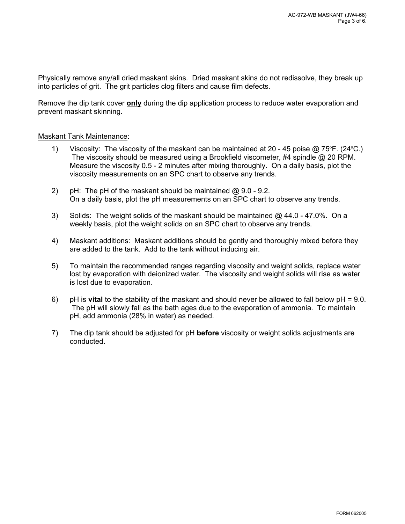Physically remove any/all dried maskant skins. Dried maskant skins do not redissolve, they break up into particles of grit. The grit particles clog filters and cause film defects.

Remove the dip tank cover **only** during the dip application process to reduce water evaporation and prevent maskant skinning.

### Maskant Tank Maintenance:

- 1) Viscosity: The viscosity of the maskant can be maintained at 20 45 poise @ 75ºF. (24ºC.) The viscosity should be measured using a Brookfield viscometer, #4 spindle @ 20 RPM. Measure the viscosity 0.5 - 2 minutes after mixing thoroughly. On a daily basis, plot the viscosity measurements on an SPC chart to observe any trends.
- 2) pH: The pH of the maskant should be maintained @ 9.0 9.2. On a daily basis, plot the pH measurements on an SPC chart to observe any trends.
- 3) Solids: The weight solids of the maskant should be maintained  $@.44.0 47.0\%$ . On a weekly basis, plot the weight solids on an SPC chart to observe any trends.
- 4) Maskant additions: Maskant additions should be gently and thoroughly mixed before they are added to the tank. Add to the tank without inducing air.
- 5) To maintain the recommended ranges regarding viscosity and weight solids, replace water lost by evaporation with deionized water. The viscosity and weight solids will rise as water is lost due to evaporation.
- 6) pH is **vital** to the stability of the maskant and should never be allowed to fall below pH = 9.0. The pH will slowly fall as the bath ages due to the evaporation of ammonia. To maintain pH, add ammonia (28% in water) as needed.
- 7) The dip tank should be adjusted for pH **before** viscosity or weight solids adjustments are conducted.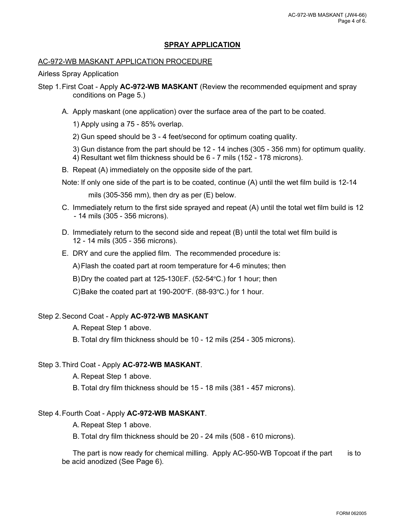# **SPRAY APPLICATION**

# AC-972-WB MASKANT APPLICATION PROCEDURE

Airless Spray Application

Step 1.First Coat - Apply **AC-972-WB MASKANT** (Review the recommended equipment and spray conditions on Page 5.)

A. Apply maskant (one application) over the surface area of the part to be coated.

1) Apply using a 75 - 85% overlap.

2) Gun speed should be 3 - 4 feet/second for optimum coating quality.

3) Gun distance from the part should be 12 - 14 inches (305 - 356 mm) for optimum quality. 4) Resultant wet film thickness should be 6 - 7 mils (152 - 178 microns).

B. Repeat (A) immediately on the opposite side of the part.

Note: If only one side of the part is to be coated, continue (A) until the wet film build is 12-14

mils (305-356 mm), then dry as per (E) below.

- C. Immediately return to the first side sprayed and repeat (A) until the total wet film build is 12 - 14 mils (305 - 356 microns).
- D. Immediately return to the second side and repeat (B) until the total wet film build is 12 - 14 mils (305 - 356 microns).
- E. DRY and cure the applied film. The recommended procedure is:

A)Flash the coated part at room temperature for 4-6 minutes; then

B)Dry the coated part at 125-130EF. (52-54°C.) for 1 hour; then

C)Bake the coated part at 190-200ºF. (88-93ºC.) for 1 hour.

## Step 2.Second Coat - Apply **AC-972-WB MASKANT**

A. Repeat Step 1 above.

B. Total dry film thickness should be 10 - 12 mils (254 - 305 microns).

## Step 3.Third Coat - Apply **AC-972-WB MASKANT**.

A. Repeat Step 1 above.

B. Total dry film thickness should be 15 - 18 mils (381 - 457 microns).

# Step 4.Fourth Coat - Apply **AC-972-WB MASKANT**.

A. Repeat Step 1 above.

B. Total dry film thickness should be 20 - 24 mils (508 - 610 microns).

The part is now ready for chemical milling. Apply AC-950-WB Topcoat if the part is to be acid anodized (See Page 6).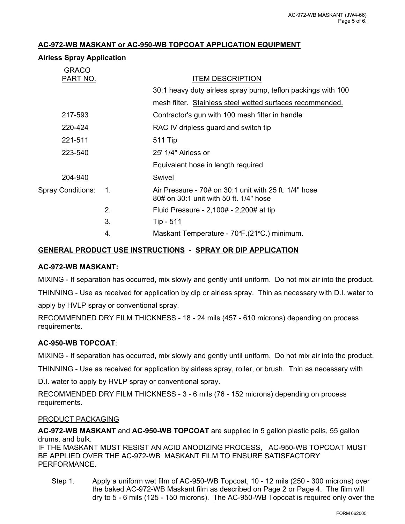# **AC-972-WB MASKANT or AC-950-WB TOPCOAT APPLICATION EQUIPMENT**

## **Airless Spray Application**

| <b>GRACO</b>      |                  |                                                                                                      |
|-------------------|------------------|------------------------------------------------------------------------------------------------------|
| <b>PART NO.</b>   |                  | <b>ITEM DESCRIPTION</b>                                                                              |
|                   |                  | 30:1 heavy duty airless spray pump, teflon packings with 100                                         |
|                   |                  | mesh filter. Stainless steel wetted surfaces recommended.                                            |
| 217-593           |                  | Contractor's gun with 100 mesh filter in handle                                                      |
| 220-424           |                  | RAC IV dripless guard and switch tip                                                                 |
| 221-511           |                  | <b>511 Tip</b>                                                                                       |
| 223-540           |                  | 25' 1/4" Airless or                                                                                  |
|                   |                  | Equivalent hose in length required                                                                   |
| 204-940           |                  | Swivel                                                                                               |
| Spray Conditions: | $\overline{1}$ . | Air Pressure - $70\#$ on 30:1 unit with 25 ft. $1/4"$ hose<br>80# on 30:1 unit with 50 ft. 1/4" hose |
|                   | 2.               | Fluid Pressure - 2,100# - 2,200# at tip                                                              |
|                   | 3.               | Tip - 511                                                                                            |
|                   | 4.               | Maskant Temperature - 70°F.(21°C.) minimum.                                                          |
|                   |                  |                                                                                                      |

# **GENERAL PRODUCT USE INSTRUCTIONS - SPRAY OR DIP APPLICATION**

## **AC-972-WB MASKANT:**

MIXING - If separation has occurred, mix slowly and gently until uniform. Do not mix air into the product.

THINNING - Use as received for application by dip or airless spray. Thin as necessary with D.I. water to apply by HVLP spray or conventional spray.

RECOMMENDED DRY FILM THICKNESS - 18 - 24 mils (457 - 610 microns) depending on process requirements.

# **AC-950-WB TOPCOAT**:

MIXING - If separation has occurred, mix slowly and gently until uniform. Do not mix air into the product.

THINNING - Use as received for application by airless spray, roller, or brush. Thin as necessary with

D.I. water to apply by HVLP spray or conventional spray.

RECOMMENDED DRY FILM THICKNESS - 3 - 6 mils (76 - 152 microns) depending on process requirements.

## PRODUCT PACKAGING

**AC-972-WB MASKANT** and **AC-950-WB TOPCOAT** are supplied in 5 gallon plastic pails, 55 gallon drums, and bulk.

IF THE MASKANT MUST RESIST AN ACID ANODIZING PROCESS, AC-950-WB TOPCOAT MUST BE APPLIED OVER THE AC-972-WB MASKANT FILM TO ENSURE SATISFACTORY PERFORMANCE.

Step 1. Apply a uniform wet film of AC-950-WB Topcoat, 10 - 12 mils (250 - 300 microns) over the baked AC-972-WB Maskant film as described on Page 2 or Page 4. The film will dry to 5 - 6 mils (125 - 150 microns). The AC-950-WB Topcoat is required only over the